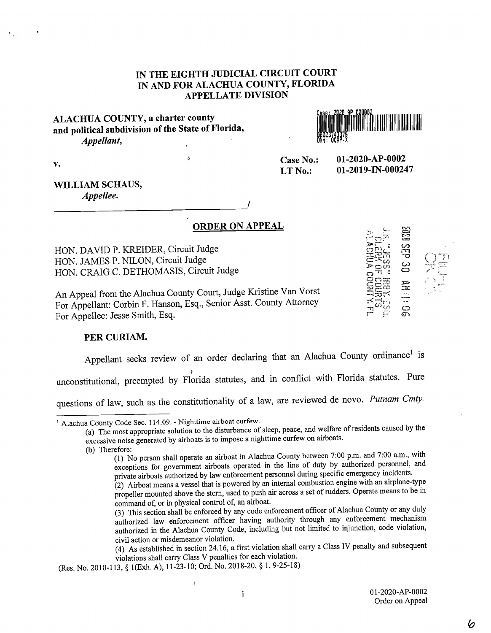# IN THE EIGHTH JUDICIAL CIRCUIT COURT IN AND FOR ALACHUA COUNTY, FLORIDA APPELLATE DIVISION

# ALACHUA COUNTY, a charter county and political subdivision of the State of Florida, Appellant,



Case No.: 01-2020-AP-0002 LT No.:  $01-2019$ -IN-000247

V.

# WILLIAM SCHAUS,

Appellee.

ORDER ON APPEAL

HON. DAVID P. KREIDER, Circuit Judge HON. JAMES P. NILON, Circuit Judge HON. CRAIG C. DETHOMASIS, Circuit Judge

An Appeal from the Alachua County Court, Judge Kristine Van Vorst For Appellant: Corbin F. Hanson, Esq., Senior Asst. County Attorney For Appellee: Jesse Smith, Esq.

 $\mathbf{r}$ 

## PER CURIAM.

Appellant seeks review of an order declaring that an Alachua County ordinance<sup>1</sup> is

unconstitutional, preempted by Florida statutes, and in conflict with Florida statutes. Pure

questions of law, such as the constitutionality of a law, are reviewed de novo. Putnam Cmty.

(a) The most appropriate solution to the disturbance of sleep, peace, and welfare of residents caused by the excessive noise generated by airboats is to impose a nighttime curfew on airboats.

(2) Airboat means a vessel that is powered by an internal combustion engine with an airplane-type propeller mounted above the stern, used to push air across a set of rudders. Operate means to be in command of, or in physical control of; an airboat.

(4) As established in section 24.16, a first violation shall carry a Class IV penalty and subsequent violations shall carry Class V penalties for each violation.

 $\ddot{\cdot}$ 

1 01-2020-AP-0002 Order on Appeal

 $\frac{1}{2}$ 

Alachua County Code Sec. 114.09. - Nighttime airboat curfew.

<sup>(</sup>b) Therefore:

<sup>(1)</sup> No person shall operate an airboat in Alachua County between 7:00 p.m. and 7:00 a.m., with exceptions for government airboats operated in the line of duty by authorized personnel, and private airboats authorized by law enforcement personnel during specific emergency incidents.

<sup>(3)</sup> This section shall be enforced by any code enforcement officer of Alachua County or any duly authorized law enforcement officer having authority through any enforcement mechanism authorized in the Alachua County Code, including but not limited to injunction, code violation, civil action or misdemeanor violation.

<sup>(</sup>Res. No. 2010-113, § 1(Exh. A), 11-23-10; Ord. No. 2018-20, § 1, 9-25-18)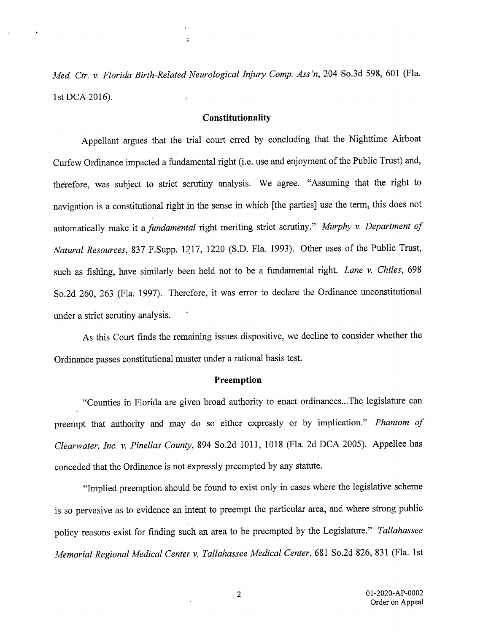Med. Ctr. v. Florida Birth-Related Neurological Injury Comp. Ass 'n, 204 So.3d 598, 601 (Fla. 1st DCA 2016).

 $\cdot$ 

#### Constitutionality

Appellant argues that the trial court erred by concluding that the Nighttime Airboat Curfew Ordinance impacted a fundamental right (i.e. use and enjoyment of the Public Trust) and, therefore, was subject to strict scrutiny analysis. We agree. "Assuming that the right to navigation is a constitutional right in the sense in which [the parties] use the term, this does not automatically make it a *fundamental* right meriting strict scrutiny." Murphy v. Department of Natural Resources, 837 F.Supp. 1217, 1220 (S.D. Fla. 1993). Other uses of the Public Trust, such as fishing, have similarly been held not to be a fundamental right. Lane v. Chiles, 698 So.2d 260, 263 (Fla. 1997). Therefore, it was error to declare the Ordinance unconstitutional under a strict scrutiny analysis.

As this Court finds the remaining issues dispositive, we decline to consider whether the Ordinance passes constitutional muster under a rational basis test.

#### Preemption

"Counties in Florida are given broad authority to enact ordinances.. .The legislature can preempt that authority and may do so either expressly or by implication." Phantom of Clearwater, Inc. v. Pinellas County, 894 So.2d 1011, 1018 (Fla. 2d DCA 2005). Appellee has conceded that the Ordinance is not expressly preempted by any statute.

"Implied preemption should be found to exist only in cases where the legislative scheme is so pervasive as to evidence an intent to preempt the particular area, and where strong public policy reasons exist for finding such an area to be preempted by the Legislature." Tallahassee Memorial Regional Medical Center v. Tallahassee Medical Center, 681 So.2d 826, 831 (Fla. 1st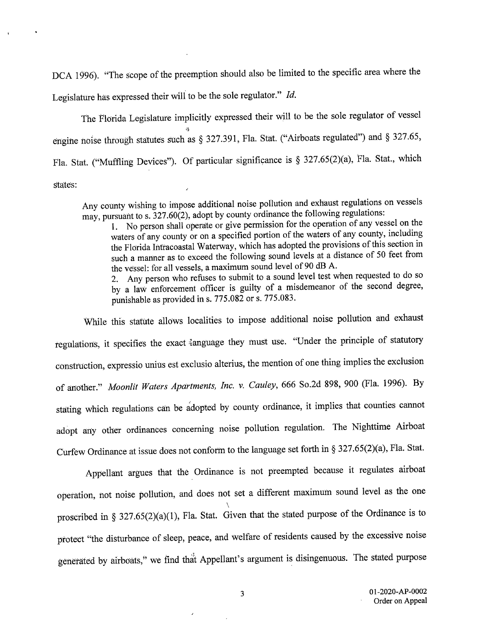DCA 1996). "The scope of the preemption should also be limited to the specific area where the Legislature has expressed their will to be the sole regulator." Id.

The Florida Legislature implicitly expressed their will to be the sole regulator of vessel engine noise through statutes such as § 327.391, Fla. Stat. ("Airboats regulated") and § 327.65, Fla. Stat. ("Muffling Devices"). Of particular significance is § 327.65(2)(a), Fla. Stat., which states:

Any county wishing to impose additional noise pollution and exhaust regulations on vessels may, pursuant to s.  $327.60(2)$ , adopt by county ordinance the following regulations:

1. No person shall operate or give permission for the operation of any vessel on the waters of any county or on a specified portion of the waters of any county, including the Florida Intracoastal Waterway, which has adopted the provisions of this section in such a manner as to exceed the following sound levels at a distance of 50 feet from the vessel: for all vessels, a maximum sound level of 90 dB A.

2. Any person who refuses to submit to a sound level test when requested to do so by a law enforcement officer is guilty of a misdemeanor of the second degree, punishable as provided in s. 775.082 or s. 775.083.

While this statute allows localities to impose additional noise pollution and exhaust regulations, it specifies the exact language they must use. "Under the principle of statutory construction, expressio unius est exclusio alterius, the mention of one thing implies the exclusion of another." Moonlit Waters Apartments, Inc. v. Cauley, 666 So.2d 898, 900 (Fla. 1996). By stating which regulations can be adopted by county ordinance, it implies that counties cannot adopt any other ordinances concerning noise pollution regulation. The Nighttime Airboat Curfew Ordinance at issue does not conform to the language set forth in § 327.65(2)(a), Fla. Stat.

Appellant argues that the Ordinance is not preempted because it regulates airboat operation, not noise pollution, and does not set a different maximum sound level as the one proscribed in § 327.65(2)(a)(1), Fla. Stat. Given that the stated purpose of the Ordinance is to protect "the disturbance of sleep, peace, and welfare of residents caused by the excessive noise generated by airboats," we find that Appellant's argument is disingenuous. The stated purpose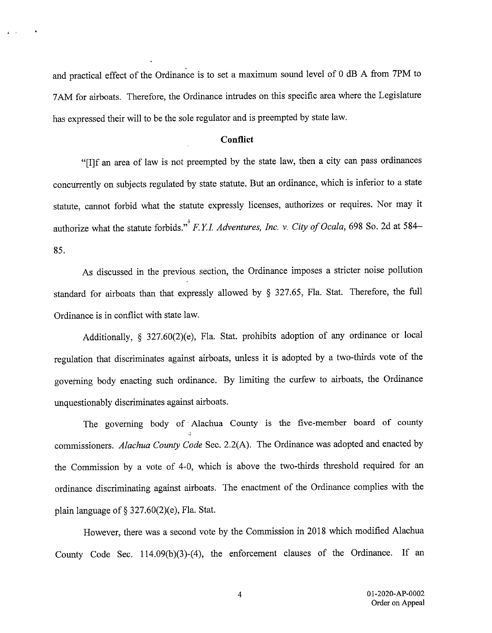and practical effect of the Ordinance is to set a maximum sound level of 0 dB A from 7PM to 7AM for airboats. Therefore, the Ordinance intrudes on this specific area where the Legislature has expressed their will to be the sole regulator and is preempted by state law.

 $\mathbf{z} = \mathbf{z}$ 

### **Conflict**

"[I]f an area of law is not preempted by the state law, then a city can pass ordinances concurrently on subjects regulated by state statute. But an ordinance, which is inferior to a state statute, cannot forbid what the statute expressly licenses, authorizes or requires. Nor may it authorize what the statute forbids." F.Y.I. Adventures, Inc. v. City of Ocala, 698 So. 2d at 584-85.

As discussed in the previous section, the Ordinance imposes a stricter noise pollution standard for airboats than that expressly allowed by § 327.65, Fla. Stat. Therefore, the full Ordinance is in conflict with state law.

Additionally, § 327.60(2)(e), Fla. Stat. prohibits adoption of any ordinance or local regulation that discriminates against airboats, unless it is adopted by a two-thirds vote of the governing body enacting such ordinance. By limiting the curfew to airboats, the Ordinance unquestionably discriminates against airboats.

The governing body of Alachua County is the five-member board of county commissioners. Alachua County Code Sec. 2.2(A). The Ordinance was adopted and enacted by the Commission by a vote of 4-0, which is above the two-thirds threshold required for an ordinance discriminating against airboats. The enactment of the Ordinance complies with the plain language of § 327.60(2)(e), Fla. Stat.

However, there was a second vote by the Commission in 2018 which modified Alachua County Code Sec. 114.09(b)(3)-(4), the enforcement clauses of the Ordinance. If an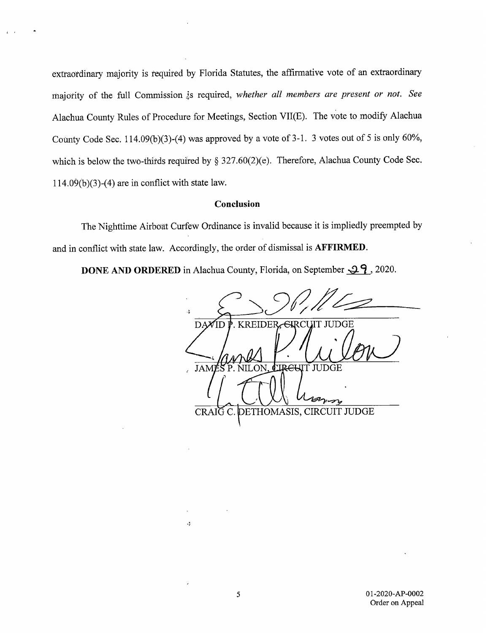extraordinary majority is required by Florida Statutes, the affirmative vote of an extraordinary majority of the full Commission is required, whether all members are present or not. See Alachua County Rules of Procedure for Meetings, Section VII(E). The vote to modify Alachua County Code Sec. 114.09(b)(3)-(4) was approved by a vote of 3-1. 3 votes out of 5 is only 60%, which is below the two-thirds required by § 327.60(2)(e). Therefore, Alachua County Code Sec.  $114.09(b)(3)-(4)$  are in conflict with state law.

#### Conclusion

The Nighttime Airboat Curfew Ordinance is invalid because it is impliedly preempted by and in conflict with state law. Accordingly, the order of dismissal is AFFIRMED.

**DONE AND ORDERED** in Alachua County, Florida, on September  $\mathcal{Q}_1$ , 2020.

**KREIDER** <del>. CI</del>RCUIT JUDGE  $DA$ ΊD  $\mu$ JAMESP. NILON. CIREUIT JUDGE CRAIG C. DETHOMASIS, CIRCUIT JUDGE

.,